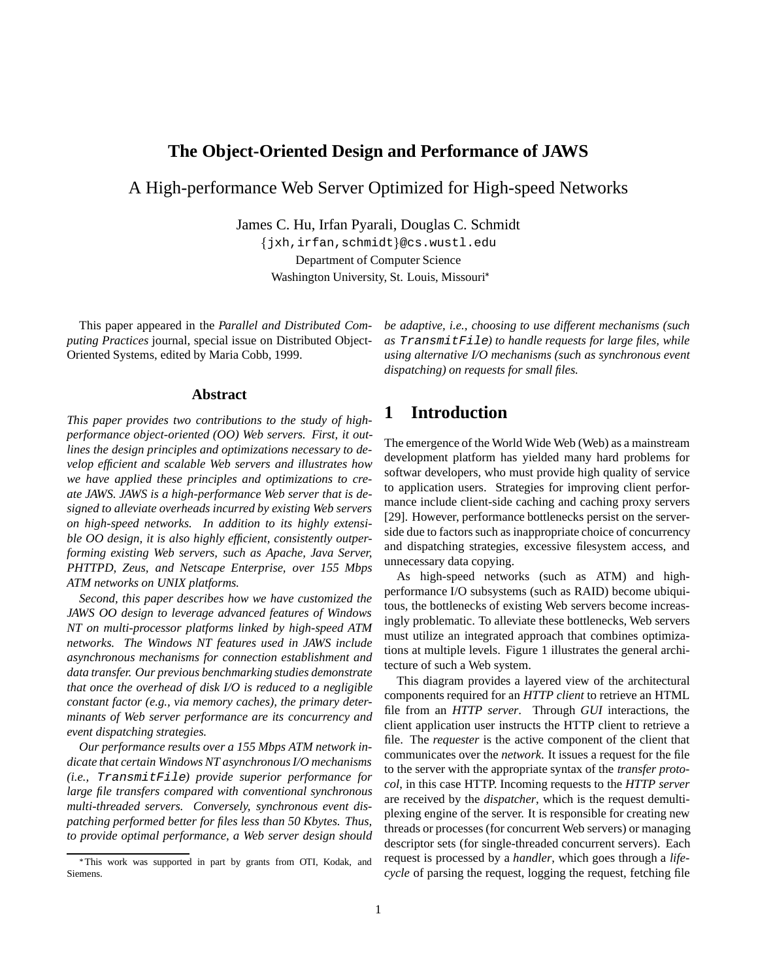# **The Object-Oriented Design and Performance of JAWS**

A High-performance Web Server Optimized for High-speed Networks

James C. Hu, Irfan Pyarali, Douglas C. Schmidt

{jxh,irfan,schmidt}@cs.wustl.edu Department of Computer Science Washington University, St. Louis, Missouri

This paper appeared in the *Parallel and Distributed Computing Practices* journal, special issue on Distributed Object-Oriented Systems, edited by Maria Cobb, 1999.

#### **Abstract**

*This paper provides two contributions to the study of highperformance object-oriented (OO) Web servers. First, it outlines the design principles and optimizations necessary to develop efficient and scalable Web servers and illustrates how we have applied these principles and optimizations to create JAWS. JAWS is a high-performance Web server that is designed to alleviate overheads incurred by existing Web servers on high-speed networks. In addition to its highly extensible OO design, it is also highly efficient, consistently outperforming existing Web servers, such as Apache, Java Server, PHTTPD, Zeus, and Netscape Enterprise, over 155 Mbps ATM networks on UNIX platforms.*

*Second, this paper describes how we have customized the JAWS OO design to leverage advanced features of Windows NT on multi-processor platforms linked by high-speed ATM networks. The Windows NT features used in JAWS include asynchronous mechanisms for connection establishment and data transfer. Our previous benchmarking studies demonstrate that once the overhead of disk I/O is reduced to a negligible constant factor (e.g., via memory caches), the primary determinants of Web server performance are its concurrency and event dispatching strategies.*

*Our performance results over a 155 Mbps ATM network indicate that certain Windows NT asynchronous I/O mechanisms (i.e.,* TransmitFile*) provide superior performance for large file transfers compared with conventional synchronous multi-threaded servers. Conversely, synchronous event dispatching performed better for files less than 50 Kbytes. Thus, to provide optimal performance, a Web server design should* *be adaptive, i.e., choosing to use different mechanisms (such as* TransmitFile*) to handle requests for large files, while using alternative I/O mechanisms (such as synchronous event dispatching) on requests for small files.*

# **1 Introduction**

The emergence of the World Wide Web (Web) as a mainstream development platform has yielded many hard problems for softwar developers, who must provide high quality of service to application users. Strategies for improving client performance include client-side caching and caching proxy servers [29]. However, performance bottlenecks persist on the serverside due to factors such as inappropriate choice of concurrency and dispatching strategies, excessive filesystem access, and unnecessary data copying.

As high-speed networks (such as ATM) and highperformance I/O subsystems (such as RAID) become ubiquitous, the bottlenecks of existing Web servers become increasingly problematic. To alleviate these bottlenecks, Web servers must utilize an integrated approach that combines optimizations at multiple levels. Figure 1 illustrates the general architecture of such a Web system.

This diagram provides a layered view of the architectural components required for an *HTTP client* to retrieve an HTML file from an *HTTP server*. Through *GUI* interactions, the client application user instructs the HTTP client to retrieve a file. The *requester* is the active component of the client that communicates over the *network*. It issues a request for the file to the server with the appropriate syntax of the *transfer protocol*, in this case HTTP. Incoming requests to the *HTTP server* are received by the *dispatcher*, which is the request demultiplexing engine of the server. It is responsible for creating new threads or processes (for concurrent Web servers) or managing descriptor sets (for single-threaded concurrent servers). Each request is processed by a *handler*, which goes through a *lifecycle* of parsing the request, logging the request, fetching file

This work was supported in part by grants from OTI, Kodak, and Siemens.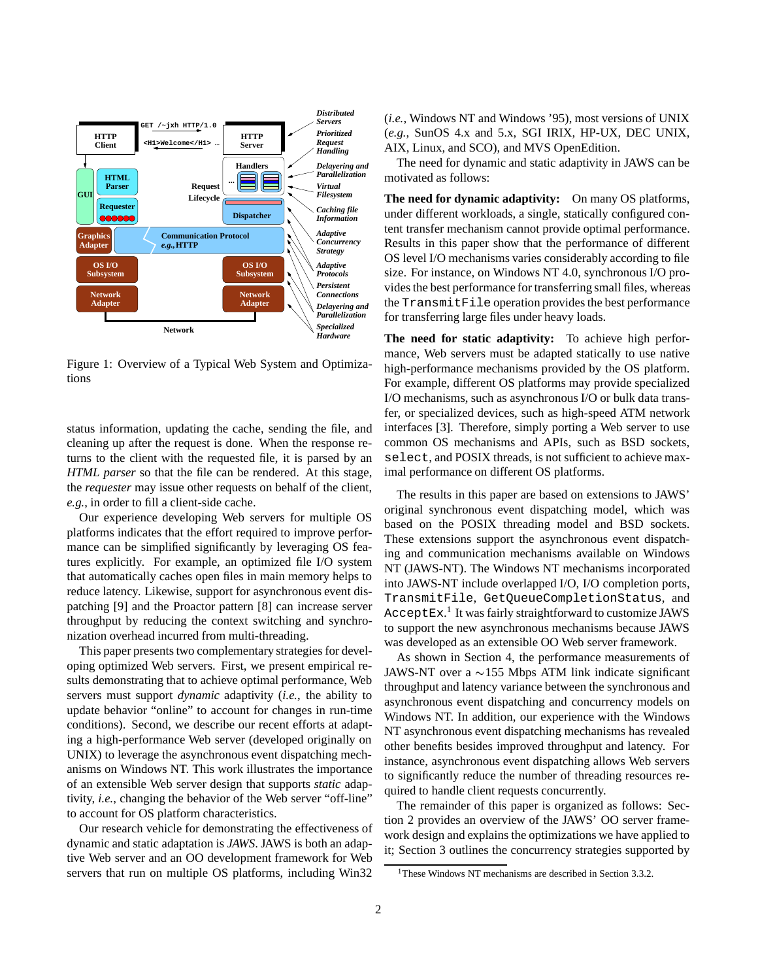

Figure 1: Overview of a Typical Web System and Optimizations

status information, updating the cache, sending the file, and cleaning up after the request is done. When the response returns to the client with the requested file, it is parsed by an *HTML parser* so that the file can be rendered. At this stage, the *requester* may issue other requests on behalf of the client, *e.g.*, in order to fill a client-side cache.

Our experience developing Web servers for multiple OS platforms indicates that the effort required to improve performance can be simplified significantly by leveraging OS features explicitly. For example, an optimized file I/O system that automatically caches open files in main memory helps to reduce latency. Likewise, support for asynchronous event dispatching [9] and the Proactor pattern [8] can increase server throughput by reducing the context switching and synchronization overhead incurred from multi-threading.

This paper presents two complementary strategies for developing optimized Web servers. First, we present empirical results demonstrating that to achieve optimal performance, Web servers must support *dynamic* adaptivity (*i.e.*, the ability to update behavior "online" to account for changes in run-time conditions). Second, we describe our recent efforts at adapting a high-performance Web server (developed originally on UNIX) to leverage the asynchronous event dispatching mechanisms on Windows NT. This work illustrates the importance of an extensible Web server design that supports *static* adaptivity, *i.e.*, changing the behavior of the Web server "off-line" to account for OS platform characteristics.

Our research vehicle for demonstrating the effectiveness of dynamic and static adaptation is *JAWS*. JAWS is both an adaptive Web server and an OO development framework for Web servers that run on multiple OS platforms, including Win32 (*i.e.*, Windows NT and Windows '95), most versions of UNIX (*e.g.*, SunOS 4.x and 5.x, SGI IRIX, HP-UX, DEC UNIX, AIX, Linux, and SCO), and MVS OpenEdition.

The need for dynamic and static adaptivity in JAWS can be motivated as follows:

**The need for dynamic adaptivity:** On many OS platforms, under different workloads, a single, statically configured content transfer mechanism cannot provide optimal performance. Results in this paper show that the performance of different OS level I/O mechanisms varies considerably according to file size. For instance, on Windows NT 4.0, synchronous I/O provides the best performance for transferring small files, whereas the TransmitFile operation provides the best performance for transferring large files under heavy loads.

**The need for static adaptivity:** To achieve high performance, Web servers must be adapted statically to use native high-performance mechanisms provided by the OS platform. For example, different OS platforms may provide specialized I/O mechanisms, such as asynchronous I/O or bulk data transfer, or specialized devices, such as high-speed ATM network interfaces [3]. Therefore, simply porting a Web server to use common OS mechanisms and APIs, such as BSD sockets, select, and POSIX threads, is not sufficient to achieve maximal performance on different OS platforms.

The results in this paper are based on extensions to JAWS' original synchronous event dispatching model, which was based on the POSIX threading model and BSD sockets. These extensions support the asynchronous event dispatching and communication mechanisms available on Windows NT (JAWS-NT). The Windows NT mechanisms incorporated into JAWS-NT include overlapped I/O, I/O completion ports, TransmitFile, GetQueueCompletionStatus, and  $\texttt{AcceptEx}.^\text{1}$  It was fairly straightforward to customize JAWS to support the new asynchronous mechanisms because JAWS was developed as an extensible OO Web server framework.

As shown in Section 4, the performance measurements of JAWS-NT over a  $\sim$ 155 Mbps ATM link indicate significant throughput and latency variance between the synchronous and asynchronous event dispatching and concurrency models on Windows NT. In addition, our experience with the Windows NT asynchronous event dispatching mechanisms has revealed other benefits besides improved throughput and latency. For instance, asynchronous event dispatching allows Web servers to significantly reduce the number of threading resources required to handle client requests concurrently.

The remainder of this paper is organized as follows: Section 2 provides an overview of the JAWS' OO server framework design and explains the optimizations we have applied to it; Section 3 outlines the concurrency strategies supported by

<sup>&</sup>lt;sup>1</sup>These Windows NT mechanisms are described in Section 3.3.2.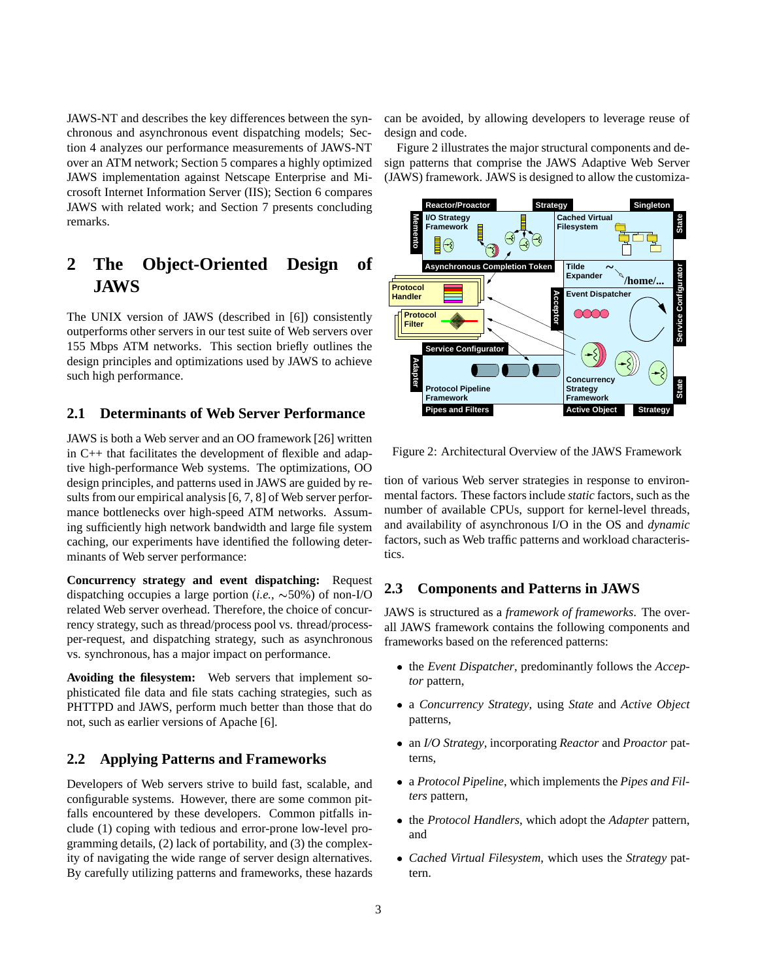JAWS-NT and describes the key differences between the synchronous and asynchronous event dispatching models; Section 4 analyzes our performance measurements of JAWS-NT over an ATM network; Section 5 compares a highly optimized JAWS implementation against Netscape Enterprise and Microsoft Internet Information Server (IIS); Section 6 compares JAWS with related work; and Section 7 presents concluding remarks.

# **2 The Object-Oriented Design of JAWS**

The UNIX version of JAWS (described in [6]) consistently outperforms other servers in our test suite of Web servers over 155 Mbps ATM networks. This section briefly outlines the design principles and optimizations used by JAWS to achieve such high performance.

## **2.1 Determinants of Web Server Performance**

JAWS is both a Web server and an OO framework [26] written in C++ that facilitates the development of flexible and adaptive high-performance Web systems. The optimizations, OO design principles, and patterns used in JAWS are guided by results from our empirical analysis [6, 7, 8] of Web server performance bottlenecks over high-speed ATM networks. Assuming sufficiently high network bandwidth and large file system caching, our experiments have identified the following determinants of Web server performance:

**Concurrency strategy and event dispatching:** Request dispatching occupies a large portion (*i.e.*,  $\sim$  50%) of non-I/O related Web server overhead. Therefore, the choice of concurrency strategy, such as thread/process pool vs. thread/processper-request, and dispatching strategy, such as asynchronous vs. synchronous, has a major impact on performance.

**Avoiding the filesystem:** Web servers that implement sophisticated file data and file stats caching strategies, such as PHTTPD and JAWS, perform much better than those that do not, such as earlier versions of Apache [6].

## **2.2 Applying Patterns and Frameworks**

Developers of Web servers strive to build fast, scalable, and configurable systems. However, there are some common pitfalls encountered by these developers. Common pitfalls include (1) coping with tedious and error-prone low-level programming details, (2) lack of portability, and (3) the complexity of navigating the wide range of server design alternatives. By carefully utilizing patterns and frameworks, these hazards can be avoided, by allowing developers to leverage reuse of design and code.

Figure 2 illustrates the major structural components and design patterns that comprise the JAWS Adaptive Web Server (JAWS) framework. JAWS is designed to allow the customiza-



Figure 2: Architectural Overview of the JAWS Framework

tion of various Web server strategies in response to environmental factors. These factors include *static* factors, such as the number of available CPUs, support for kernel-level threads, and availability of asynchronous I/O in the OS and *dynamic* factors, such as Web traffic patterns and workload characteristics.

## **2.3 Components and Patterns in JAWS**

JAWS is structured as a *framework of frameworks*. The overall JAWS framework contains the following components and frameworks based on the referenced patterns:

- the *Event Dispatcher*, predominantly follows the *Acceptor* pattern,
- a *Concurrency Strategy*, using *State* and *Active Object* patterns,
- an *I/O Strategy*, incorporating *Reactor* and *Proactor* patterns,
- a *Protocol Pipeline*, which implements the *Pipes and Filters* pattern,
- the *Protocol Handlers*, which adopt the *Adapter* pattern, and
- *Cached Virtual Filesystem*, which uses the *Strategy* pattern.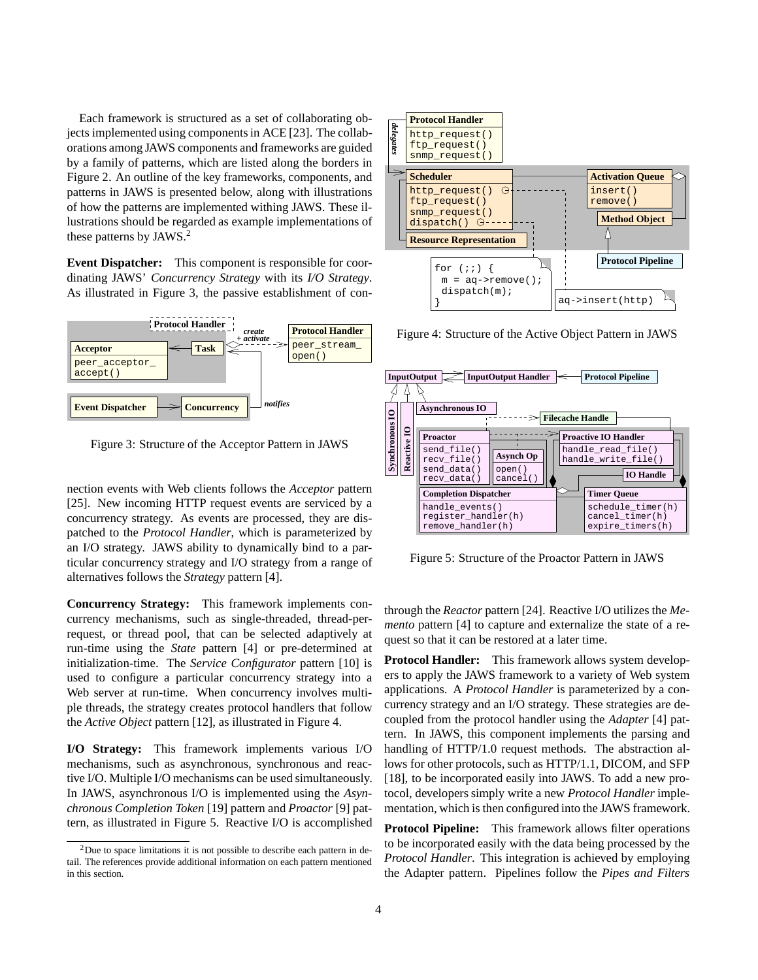Each framework is structured as a set of collaborating objects implemented using components in ACE [23]. The collaborations among JAWS components and frameworks are guided by a family of patterns, which are listed along the borders in Figure 2. An outline of the key frameworks, components, and patterns in JAWS is presented below, along with illustrations of how the patterns are implemented withing JAWS. These illustrations should be regarded as example implementations of these patterns by JAWS.<sup>2</sup>

**Event Dispatcher:** This component is responsible for coordinating JAWS' *Concurrency Strategy* with its *I/O Strategy*. As illustrated in Figure 3, the passive establishment of con-



Figure 3: Structure of the Acceptor Pattern in JAWS

nection events with Web clients follows the *Acceptor* pattern [25]. New incoming HTTP request events are serviced by a concurrency strategy. As events are processed, they are dispatched to the *Protocol Handler*, which is parameterized by an I/O strategy. JAWS ability to dynamically bind to a particular concurrency strategy and I/O strategy from a range of alternatives follows the *Strategy* pattern [4].

**Concurrency Strategy:** This framework implements concurrency mechanisms, such as single-threaded, thread-perrequest, or thread pool, that can be selected adaptively at run-time using the *State* pattern [4] or pre-determined at initialization-time. The *Service Configurator* pattern [10] is used to configure a particular concurrency strategy into a Web server at run-time. When concurrency involves multiple threads, the strategy creates protocol handlers that follow the *Active Object* pattern [12], as illustrated in Figure 4.

**I/O Strategy:** This framework implements various I/O mechanisms, such as asynchronous, synchronous and reactive I/O. Multiple I/O mechanisms can be used simultaneously. In JAWS, asynchronous I/O is implemented using the *Asynchronous Completion Token* [19] pattern and *Proactor* [9] pattern, as illustrated in Figure 5. Reactive I/O is accomplished



Figure 4: Structure of the Active Object Pattern in JAWS



Figure 5: Structure of the Proactor Pattern in JAWS

through the *Reactor* pattern [24]. Reactive I/O utilizes the *Memento* pattern [4] to capture and externalize the state of a request so that it can be restored at a later time.

**Protocol Handler:** This framework allows system developers to apply the JAWS framework to a variety of Web system applications. A *Protocol Handler* is parameterized by a concurrency strategy and an I/O strategy. These strategies are decoupled from the protocol handler using the *Adapter* [4] pattern. In JAWS, this component implements the parsing and handling of HTTP/1.0 request methods. The abstraction allows for other protocols, such as HTTP/1.1, DICOM, and SFP [18], to be incorporated easily into JAWS. To add a new protocol, developers simply write a new *Protocol Handler* implementation, which is then configured into the JAWS framework.

**Protocol Pipeline:** This framework allows filter operations to be incorporated easily with the data being processed by the *Protocol Handler*. This integration is achieved by employing the Adapter pattern. Pipelines follow the *Pipes and Filters*

 $2$ Due to space limitations it is not possible to describe each pattern in detail. The references provide additional information on each pattern mentioned in this section.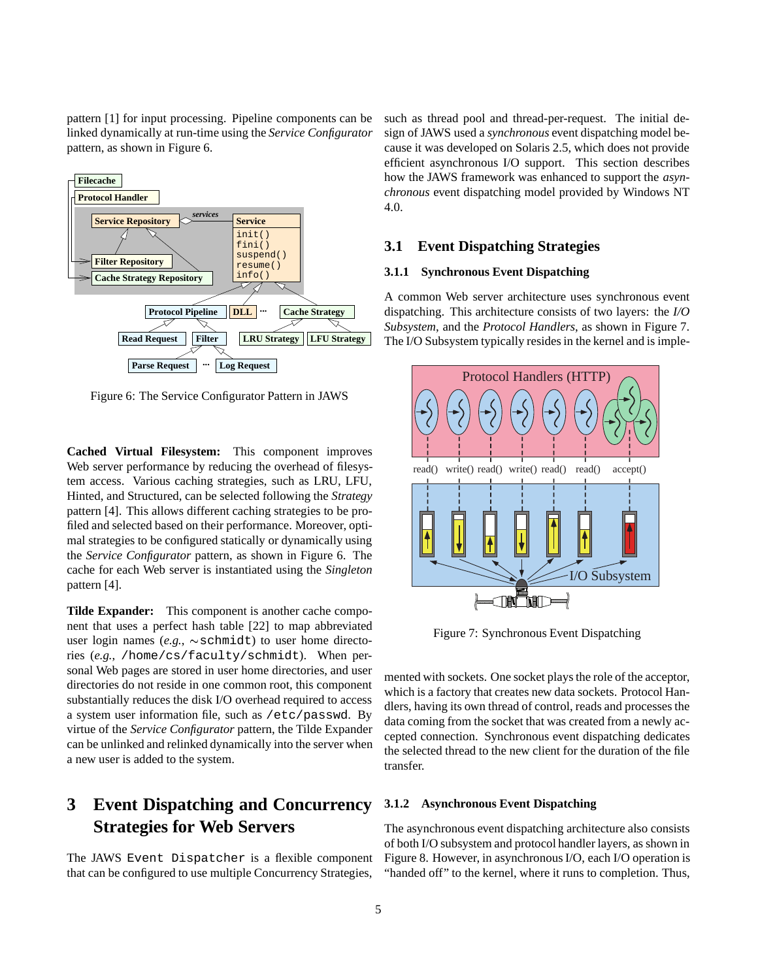pattern [1] for input processing. Pipeline components can be linked dynamically at run-time using the *Service Configurator* pattern, as shown in Figure 6.



Figure 6: The Service Configurator Pattern in JAWS

**Cached Virtual Filesystem:** This component improves Web server performance by reducing the overhead of filesystem access. Various caching strategies, such as LRU, LFU, Hinted, and Structured, can be selected following the *Strategy* pattern [4]. This allows different caching strategies to be profiled and selected based on their performance. Moreover, optimal strategies to be configured statically or dynamically using the *Service Configurator* pattern, as shown in Figure 6. The cache for each Web server is instantiated using the *Singleton* pattern [4].

**Tilde Expander:** This component is another cache component that uses a perfect hash table [22] to map abbreviated user login names (*e.g.*,  $\sim$  schmidt) to user home directories (*e.g.*, /home/cs/faculty/schmidt). When personal Web pages are stored in user home directories, and user directories do not reside in one common root, this component substantially reduces the disk I/O overhead required to access a system user information file, such as /etc/passwd. By virtue of the *Service Configurator* pattern, the Tilde Expander can be unlinked and relinked dynamically into the server when a new user is added to the system.

# **3 Event Dispatching and Concurrency Strategies for Web Servers**

The JAWS Event Dispatcher is a flexible component that can be configured to use multiple Concurrency Strategies,

such as thread pool and thread-per-request. The initial design of JAWS used a *synchronous* event dispatching model because it was developed on Solaris 2.5, which does not provide efficient asynchronous I/O support. This section describes how the JAWS framework was enhanced to support the *asynchronous* event dispatching model provided by Windows NT 4.0.

#### **3.1 Event Dispatching Strategies**

#### **3.1.1 Synchronous Event Dispatching**

A common Web server architecture uses synchronous event dispatching. This architecture consists of two layers: the *I/O Subsystem*, and the *Protocol Handlers*, as shown in Figure 7. The I/O Subsystem typically resides in the kernel and is imple-



Figure 7: Synchronous Event Dispatching

mented with sockets. One socket plays the role of the acceptor, which is a factory that creates new data sockets. Protocol Handlers, having its own thread of control, reads and processes the data coming from the socket that was created from a newly accepted connection. Synchronous event dispatching dedicates the selected thread to the new client for the duration of the file transfer.

#### **3.1.2 Asynchronous Event Dispatching**

The asynchronous event dispatching architecture also consists of both I/O subsystem and protocol handler layers, as shown in Figure 8. However, in asynchronous I/O, each I/O operation is "handed off" to the kernel, where it runs to completion. Thus,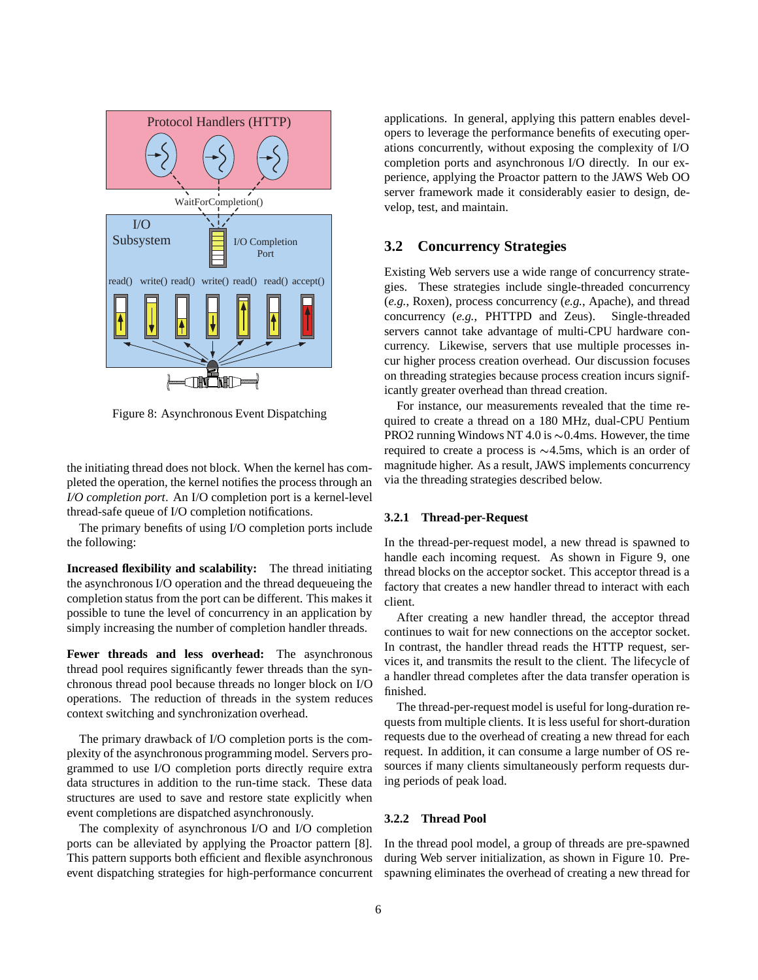

Figure 8: Asynchronous Event Dispatching

the initiating thread does not block. When the kernel has completed the operation, the kernel notifies the process through an *I/O completion port*. An I/O completion port is a kernel-level thread-safe queue of I/O completion notifications.

The primary benefits of using I/O completion ports include the following:

**Increased flexibility and scalability:** The thread initiating the asynchronous I/O operation and the thread dequeueing the completion status from the port can be different. This makes it possible to tune the level of concurrency in an application by simply increasing the number of completion handler threads.

**Fewer threads and less overhead:** The asynchronous thread pool requires significantly fewer threads than the synchronous thread pool because threads no longer block on I/O operations. The reduction of threads in the system reduces context switching and synchronization overhead.

The primary drawback of I/O completion ports is the complexity of the asynchronous programming model. Servers programmed to use I/O completion ports directly require extra data structures in addition to the run-time stack. These data structures are used to save and restore state explicitly when event completions are dispatched asynchronously.

The complexity of asynchronous I/O and I/O completion ports can be alleviated by applying the Proactor pattern [8]. This pattern supports both efficient and flexible asynchronous event dispatching strategies for high-performance concurrent applications. In general, applying this pattern enables developers to leverage the performance benefits of executing operations concurrently, without exposing the complexity of I/O completion ports and asynchronous I/O directly. In our experience, applying the Proactor pattern to the JAWS Web OO server framework made it considerably easier to design, develop, test, and maintain.

# **3.2 Concurrency Strategies**

Existing Web servers use a wide range of concurrency strategies. These strategies include single-threaded concurrency (*e.g.*, Roxen), process concurrency (*e.g.*, Apache), and thread concurrency (*e.g.*, PHTTPD and Zeus). Single-threaded servers cannot take advantage of multi-CPU hardware concurrency. Likewise, servers that use multiple processes incur higher process creation overhead. Our discussion focuses on threading strategies because process creation incurs significantly greater overhead than thread creation.

For instance, our measurements revealed that the time required to create a thread on a 180 MHz, dual-CPU Pentium PRO2 running Windows NT 4.0 is  $\sim 0.4$ ms. However, the time required to create a process is  $\sim$ 4.5ms, which is an order of magnitude higher. As a result, JAWS implements concurrency via the threading strategies described below.

#### **3.2.1 Thread-per-Request**

In the thread-per-request model, a new thread is spawned to handle each incoming request. As shown in Figure 9, one thread blocks on the acceptor socket. This acceptor thread is a factory that creates a new handler thread to interact with each client.

After creating a new handler thread, the acceptor thread continues to wait for new connections on the acceptor socket. In contrast, the handler thread reads the HTTP request, services it, and transmits the result to the client. The lifecycle of a handler thread completes after the data transfer operation is finished.

The thread-per-request model is useful for long-duration requests from multiple clients. It is less useful for short-duration requests due to the overhead of creating a new thread for each request. In addition, it can consume a large number of OS resources if many clients simultaneously perform requests during periods of peak load.

#### **3.2.2 Thread Pool**

In the thread pool model, a group of threads are pre-spawned during Web server initialization, as shown in Figure 10. Prespawning eliminates the overhead of creating a new thread for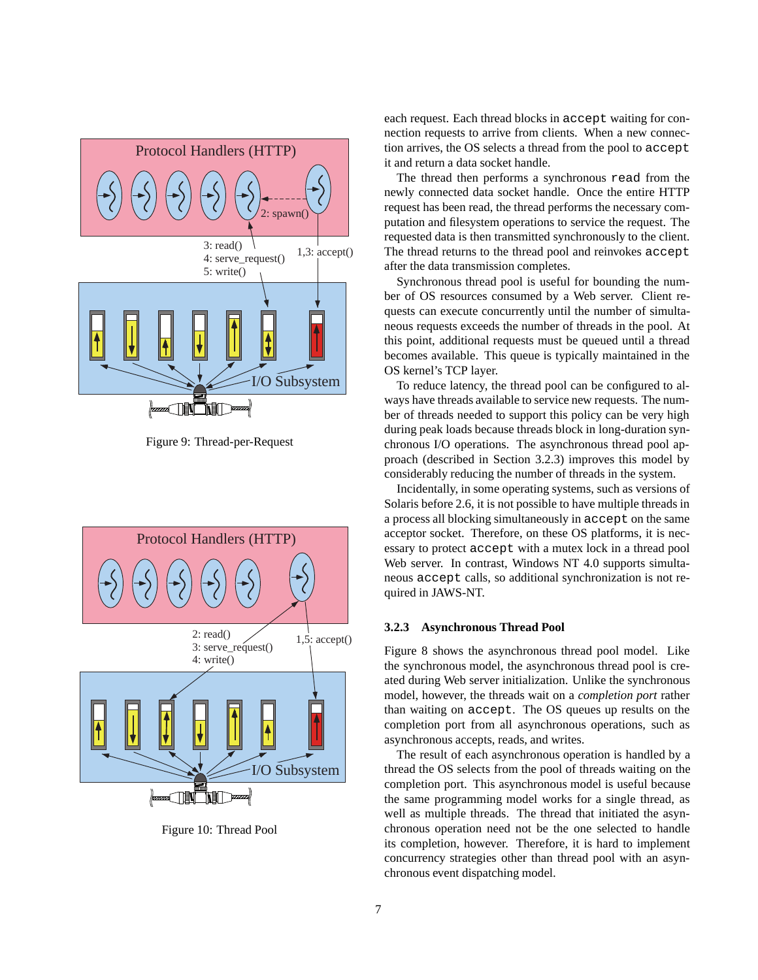

Figure 9: Thread-per-Request



Figure 10: Thread Pool

each request. Each thread blocks in accept waiting for connection requests to arrive from clients. When a new connection arrives, the OS selects a thread from the pool to accept it and return a data socket handle.

The thread then performs a synchronous read from the newly connected data socket handle. Once the entire HTTP request has been read, the thread performs the necessary computation and filesystem operations to service the request. The requested data is then transmitted synchronously to the client. The thread returns to the thread pool and reinvokes accept after the data transmission completes.

Synchronous thread pool is useful for bounding the number of OS resources consumed by a Web server. Client requests can execute concurrently until the number of simultaneous requests exceeds the number of threads in the pool. At this point, additional requests must be queued until a thread becomes available. This queue is typically maintained in the OS kernel's TCP layer.

To reduce latency, the thread pool can be configured to always have threads available to service new requests. The number of threads needed to support this policy can be very high during peak loads because threads block in long-duration synchronous I/O operations. The asynchronous thread pool approach (described in Section 3.2.3) improves this model by considerably reducing the number of threads in the system.

Incidentally, in some operating systems, such as versions of Solaris before 2.6, it is not possible to have multiple threads in a process all blocking simultaneously in accept on the same acceptor socket. Therefore, on these OS platforms, it is necessary to protect accept with a mutex lock in a thread pool Web server. In contrast, Windows NT 4.0 supports simultaneous accept calls, so additional synchronization is not required in JAWS-NT.

#### **3.2.3 Asynchronous Thread Pool**

Figure 8 shows the asynchronous thread pool model. Like the synchronous model, the asynchronous thread pool is created during Web server initialization. Unlike the synchronous model, however, the threads wait on a *completion port* rather than waiting on accept. The OS queues up results on the completion port from all asynchronous operations, such as asynchronous accepts, reads, and writes.

The result of each asynchronous operation is handled by a thread the OS selects from the pool of threads waiting on the completion port. This asynchronous model is useful because the same programming model works for a single thread, as well as multiple threads. The thread that initiated the asynchronous operation need not be the one selected to handle its completion, however. Therefore, it is hard to implement concurrency strategies other than thread pool with an asynchronous event dispatching model.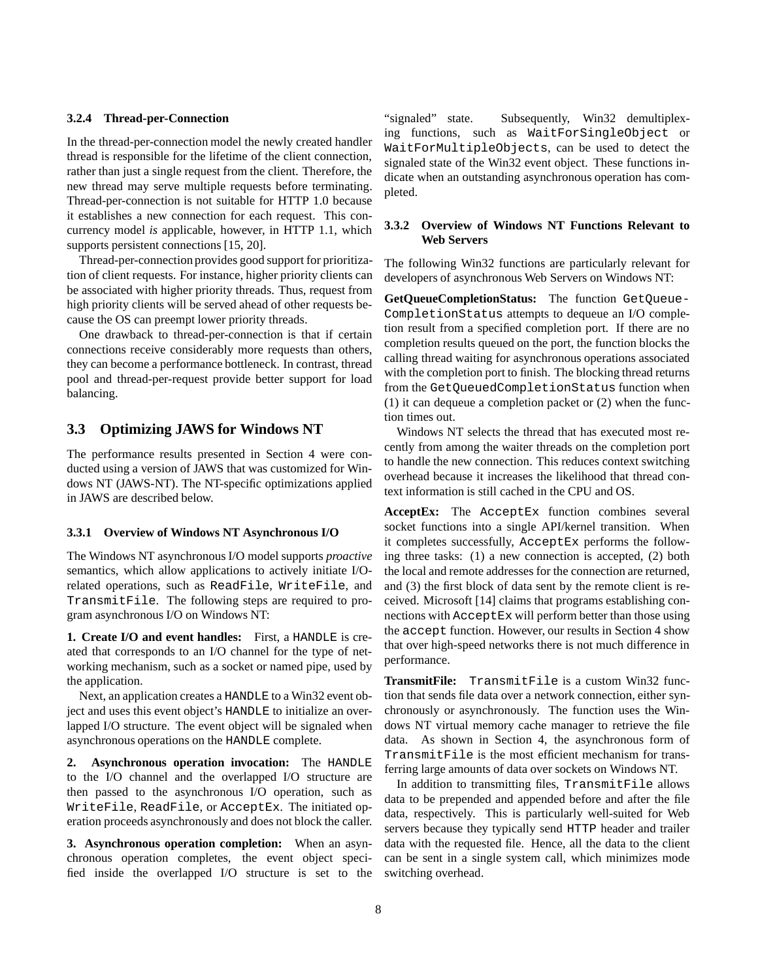#### **3.2.4 Thread-per-Connection**

In the thread-per-connection model the newly created handler thread is responsible for the lifetime of the client connection, rather than just a single request from the client. Therefore, the new thread may serve multiple requests before terminating. Thread-per-connection is not suitable for HTTP 1.0 because it establishes a new connection for each request. This concurrency model *is* applicable, however, in HTTP 1.1, which supports persistent connections [15, 20].

Thread-per-connection provides good support for prioritization of client requests. For instance, higher priority clients can be associated with higher priority threads. Thus, request from high priority clients will be served ahead of other requests because the OS can preempt lower priority threads.

One drawback to thread-per-connection is that if certain connections receive considerably more requests than others, they can become a performance bottleneck. In contrast, thread pool and thread-per-request provide better support for load balancing.

## **3.3 Optimizing JAWS for Windows NT**

The performance results presented in Section 4 were conducted using a version of JAWS that was customized for Windows NT (JAWS-NT). The NT-specific optimizations applied in JAWS are described below.

#### **3.3.1 Overview of Windows NT Asynchronous I/O**

The Windows NT asynchronous I/O model supports *proactive* semantics, which allow applications to actively initiate I/Orelated operations, such as ReadFile, WriteFile, and TransmitFile. The following steps are required to program asynchronous I/O on Windows NT:

**1. Create I/O and event handles:** First, a HANDLE is created that corresponds to an I/O channel for the type of networking mechanism, such as a socket or named pipe, used by the application.

Next, an application creates a HANDLE to a Win32 event object and uses this event object's HANDLE to initialize an overlapped I/O structure. The event object will be signaled when asynchronous operations on the HANDLE complete.

**2. Asynchronous operation invocation:** The HANDLE to the I/O channel and the overlapped I/O structure are then passed to the asynchronous I/O operation, such as WriteFile, ReadFile, or AcceptEx. The initiated operation proceeds asynchronously and does not block the caller.

**3. Asynchronous operation completion:** When an asynchronous operation completes, the event object specified inside the overlapped I/O structure is set to the "signaled" state. Subsequently, Win32 demultiplexing functions, such as WaitForSingleObject or WaitForMultipleObjects, can be used to detect the signaled state of the Win32 event object. These functions indicate when an outstanding asynchronous operation has completed.

#### **3.3.2 Overview of Windows NT Functions Relevant to Web Servers**

The following Win32 functions are particularly relevant for developers of asynchronous Web Servers on Windows NT:

**GetQueueCompletionStatus:** The function GetQueue-CompletionStatus attempts to dequeue an I/O completion result from a specified completion port. If there are no completion results queued on the port, the function blocks the calling thread waiting for asynchronous operations associated with the completion port to finish. The blocking thread returns from the GetQueuedCompletionStatus function when (1) it can dequeue a completion packet or (2) when the function times out.

Windows NT selects the thread that has executed most recently from among the waiter threads on the completion port to handle the new connection. This reduces context switching overhead because it increases the likelihood that thread context information is still cached in the CPU and OS.

**AcceptEx:** The AcceptEx function combines several socket functions into a single API/kernel transition. When it completes successfully, AcceptEx performs the following three tasks: (1) a new connection is accepted, (2) both the local and remote addresses for the connection are returned, and (3) the first block of data sent by the remote client is received. Microsoft [14] claims that programs establishing connections with AcceptEx will perform better than those using the accept function. However, our results in Section 4 show that over high-speed networks there is not much difference in performance.

**TransmitFile:** TransmitFile is a custom Win32 function that sends file data over a network connection, either synchronously or asynchronously. The function uses the Windows NT virtual memory cache manager to retrieve the file data. As shown in Section 4, the asynchronous form of TransmitFile is the most efficient mechanism for transferring large amounts of data over sockets on Windows NT.

In addition to transmitting files, TransmitFile allows data to be prepended and appended before and after the file data, respectively. This is particularly well-suited for Web servers because they typically send HTTP header and trailer data with the requested file. Hence, all the data to the client can be sent in a single system call, which minimizes mode switching overhead.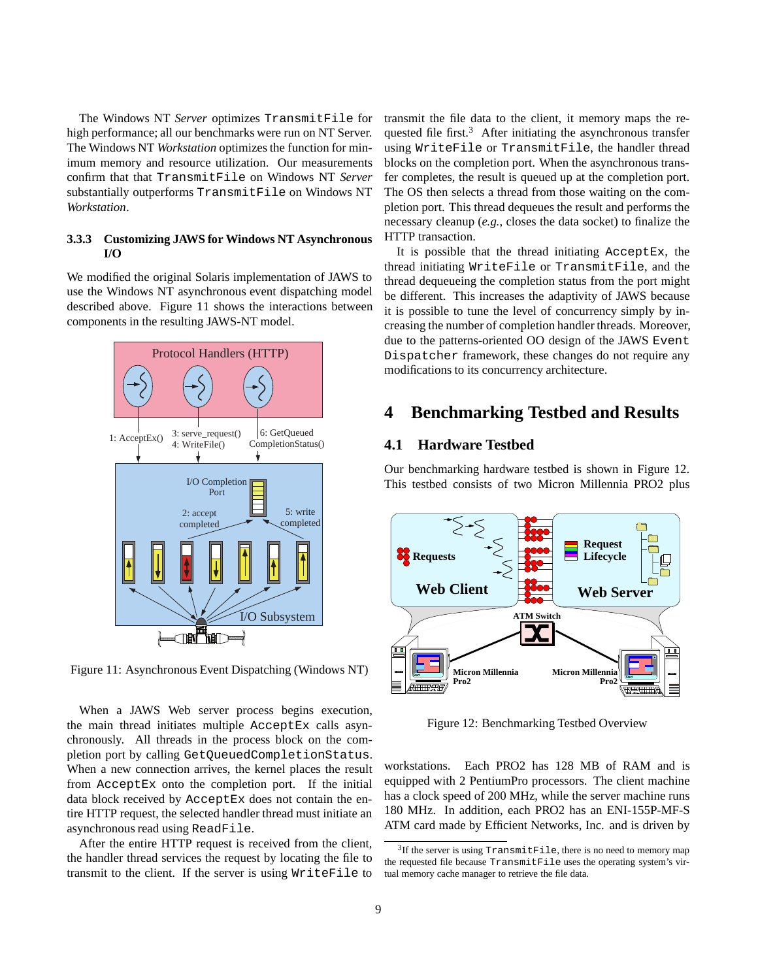The Windows NT *Server* optimizes TransmitFile for high performance; all our benchmarks were run on NT Server. The Windows NT *Workstation* optimizes the function for minimum memory and resource utilization. Our measurements confirm that that TransmitFile on Windows NT *Server* substantially outperforms TransmitFile on Windows NT *Workstation*.

#### **3.3.3 Customizing JAWS for Windows NT Asynchronous I/O**

We modified the original Solaris implementation of JAWS to use the Windows NT asynchronous event dispatching model described above. Figure 11 shows the interactions between components in the resulting JAWS-NT model.



Figure 11: Asynchronous Event Dispatching (Windows NT)

When a JAWS Web server process begins execution, the main thread initiates multiple AcceptEx calls asynchronously. All threads in the process block on the completion port by calling GetQueuedCompletionStatus. When a new connection arrives, the kernel places the result from AcceptEx onto the completion port. If the initial data block received by AcceptEx does not contain the entire HTTP request, the selected handler thread must initiate an asynchronous read using ReadFile.

After the entire HTTP request is received from the client, the handler thread services the request by locating the file to transmit to the client. If the server is using WriteFile to transmit the file data to the client, it memory maps the requested file first. $3$  After initiating the asynchronous transfer using WriteFile or TransmitFile, the handler thread blocks on the completion port. When the asynchronous transfer completes, the result is queued up at the completion port. The OS then selects a thread from those waiting on the completion port. This thread dequeues the result and performs the necessary cleanup (*e.g.*, closes the data socket) to finalize the HTTP transaction.

It is possible that the thread initiating AcceptEx, the thread initiating WriteFile or TransmitFile, and the thread dequeueing the completion status from the port might be different. This increases the adaptivity of JAWS because it is possible to tune the level of concurrency simply by increasing the number of completion handler threads. Moreover, due to the patterns-oriented OO design of the JAWS Event Dispatcher framework, these changes do not require any modifications to its concurrency architecture.

# **4 Benchmarking Testbed and Results**

## **4.1 Hardware Testbed**

Our benchmarking hardware testbed is shown in Figure 12. This testbed consists of two Micron Millennia PRO2 plus



Figure 12: Benchmarking Testbed Overview

workstations. Each PRO2 has 128 MB of RAM and is equipped with 2 PentiumPro processors. The client machine has a clock speed of 200 MHz, while the server machine runs 180 MHz. In addition, each PRO2 has an ENI-155P-MF-S ATM card made by Efficient Networks, Inc. and is driven by

 $3$ If the server is using TransmitFile, there is no need to memory map the requested file because TransmitFile uses the operating system's virtual memory cache manager to retrieve the file data.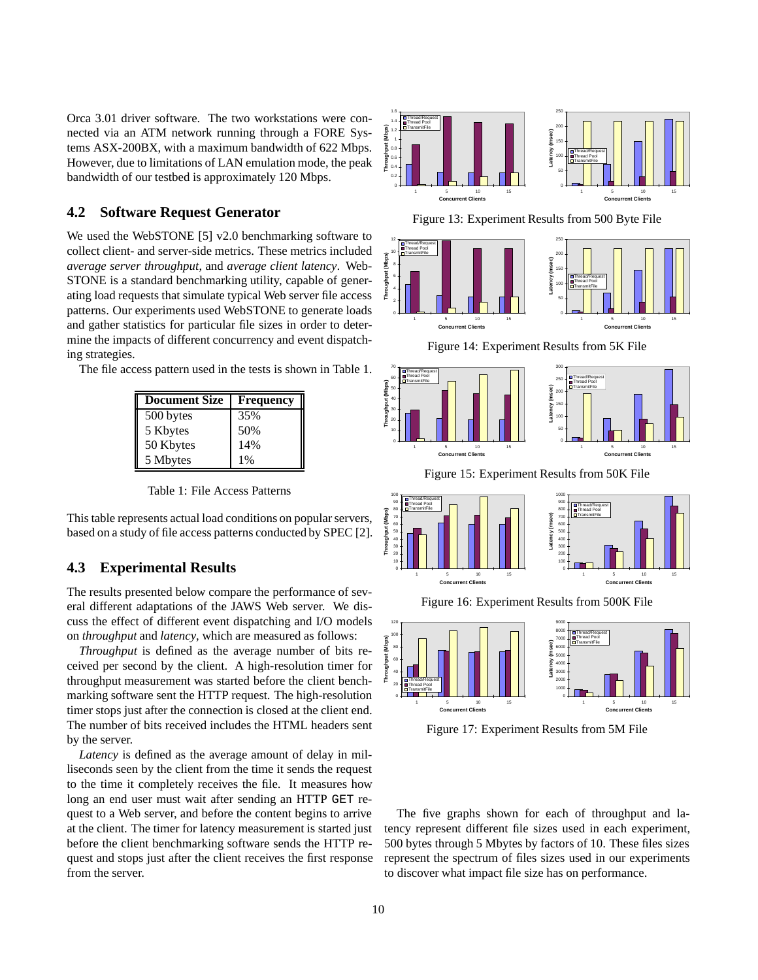Orca 3.01 driver software. The two workstations were connected via an ATM network running through a FORE Systems ASX-200BX, with a maximum bandwidth of 622 Mbps. However, due to limitations of LAN emulation mode, the peak bandwidth of our testbed is approximately 120 Mbps.

## **4.2 Software Request Generator**

We used the WebSTONE [5] v2.0 benchmarking software to collect client- and server-side metrics. These metrics included *average server throughput*, and *average client latency*. Web-STONE is a standard benchmarking utility, capable of generating load requests that simulate typical Web server file access patterns. Our experiments used WebSTONE to generate loads and gather statistics for particular file sizes in order to determine the impacts of different concurrency and event dispatching strategies.

The file access pattern used in the tests is shown in Table 1.

| <b>Document Size</b> | <b>Frequency</b> |
|----------------------|------------------|
| 500 bytes            | 35%              |
| 5 Kbytes             | 50%              |
| 50 Kbytes            | 14%              |
| 5 Mbytes             | $1\%$            |

Table 1: File Access Patterns

This table represents actual load conditions on popular servers, based on a study of file access patterns conducted by SPEC [2].

### **4.3 Experimental Results**

The results presented below compare the performance of several different adaptations of the JAWS Web server. We discuss the effect of different event dispatching and I/O models on *throughput* and *latency*, which are measured as follows:

*Throughput* is defined as the average number of bits received per second by the client. A high-resolution timer for throughput measurement was started before the client benchmarking software sent the HTTP request. The high-resolution timer stops just after the connection is closed at the client end. The number of bits received includes the HTML headers sent by the server.

*Latency* is defined as the average amount of delay in milliseconds seen by the client from the time it sends the request to the time it completely receives the file. It measures how long an end user must wait after sending an HTTP GET request to a Web server, and before the content begins to arrive at the client. The timer for latency measurement is started just before the client benchmarking software sends the HTTP request and stops just after the client receives the first response from the server.





Figure 13: Experiment Results from 500 Byte File



Figure 14: Experiment Results from 5K File



Figure 15: Experiment Results from 50K File



Figure 16: Experiment Results from 500K File



Figure 17: Experiment Results from 5M File

The five graphs shown for each of throughput and latency represent different file sizes used in each experiment, 500 bytes through 5 Mbytes by factors of 10. These files sizes represent the spectrum of files sizes used in our experiments to discover what impact file size has on performance.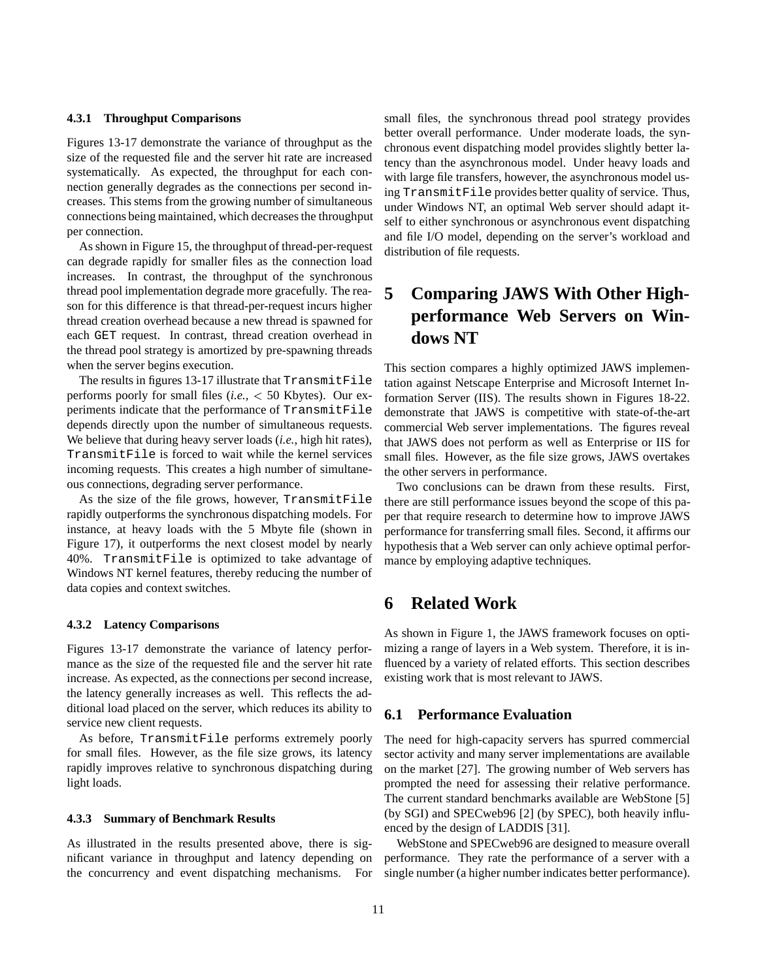#### **4.3.1 Throughput Comparisons**

Figures 13-17 demonstrate the variance of throughput as the size of the requested file and the server hit rate are increased systematically. As expected, the throughput for each connection generally degrades as the connections per second increases. This stems from the growing number of simultaneous connections being maintained, which decreases the throughput per connection.

As shown in Figure 15, the throughput of thread-per-request can degrade rapidly for smaller files as the connection load increases. In contrast, the throughput of the synchronous thread pool implementation degrade more gracefully. The reason for this difference is that thread-per-request incurs higher thread creation overhead because a new thread is spawned for each GET request. In contrast, thread creation overhead in the thread pool strategy is amortized by pre-spawning threads when the server begins execution.

The results in figures 13-17 illustrate that TransmitFile performs poorly for small files (*i.e.,* <sup>&</sup>lt; 50 Kbytes). Our experiments indicate that the performance of TransmitFile depends directly upon the number of simultaneous requests. We believe that during heavy server loads (*i.e.*, high hit rates), TransmitFile is forced to wait while the kernel services incoming requests. This creates a high number of simultaneous connections, degrading server performance.

As the size of the file grows, however, TransmitFile rapidly outperforms the synchronous dispatching models. For instance, at heavy loads with the 5 Mbyte file (shown in Figure 17), it outperforms the next closest model by nearly 40%. TransmitFile is optimized to take advantage of Windows NT kernel features, thereby reducing the number of data copies and context switches.

#### **4.3.2 Latency Comparisons**

Figures 13-17 demonstrate the variance of latency performance as the size of the requested file and the server hit rate increase. As expected, as the connections per second increase, the latency generally increases as well. This reflects the additional load placed on the server, which reduces its ability to service new client requests.

As before, TransmitFile performs extremely poorly for small files. However, as the file size grows, its latency rapidly improves relative to synchronous dispatching during light loads.

#### **4.3.3 Summary of Benchmark Results**

As illustrated in the results presented above, there is significant variance in throughput and latency depending on the concurrency and event dispatching mechanisms. For small files, the synchronous thread pool strategy provides better overall performance. Under moderate loads, the synchronous event dispatching model provides slightly better latency than the asynchronous model. Under heavy loads and with large file transfers, however, the asynchronous model using TransmitFile provides better quality of service. Thus, under Windows NT, an optimal Web server should adapt itself to either synchronous or asynchronous event dispatching and file I/O model, depending on the server's workload and distribution of file requests.

# **5 Comparing JAWS With Other Highperformance Web Servers on Windows NT**

This section compares a highly optimized JAWS implementation against Netscape Enterprise and Microsoft Internet Information Server (IIS). The results shown in Figures 18-22. demonstrate that JAWS is competitive with state-of-the-art commercial Web server implementations. The figures reveal that JAWS does not perform as well as Enterprise or IIS for small files. However, as the file size grows, JAWS overtakes the other servers in performance.

Two conclusions can be drawn from these results. First, there are still performance issues beyond the scope of this paper that require research to determine how to improve JAWS performance for transferring small files. Second, it affirms our hypothesis that a Web server can only achieve optimal performance by employing adaptive techniques.

# **6 Related Work**

As shown in Figure 1, the JAWS framework focuses on optimizing a range of layers in a Web system. Therefore, it is influenced by a variety of related efforts. This section describes existing work that is most relevant to JAWS.

## **6.1 Performance Evaluation**

The need for high-capacity servers has spurred commercial sector activity and many server implementations are available on the market [27]. The growing number of Web servers has prompted the need for assessing their relative performance. The current standard benchmarks available are WebStone [5] (by SGI) and SPECweb96 [2] (by SPEC), both heavily influenced by the design of LADDIS [31].

WebStone and SPECweb96 are designed to measure overall performance. They rate the performance of a server with a single number (a higher number indicates better performance).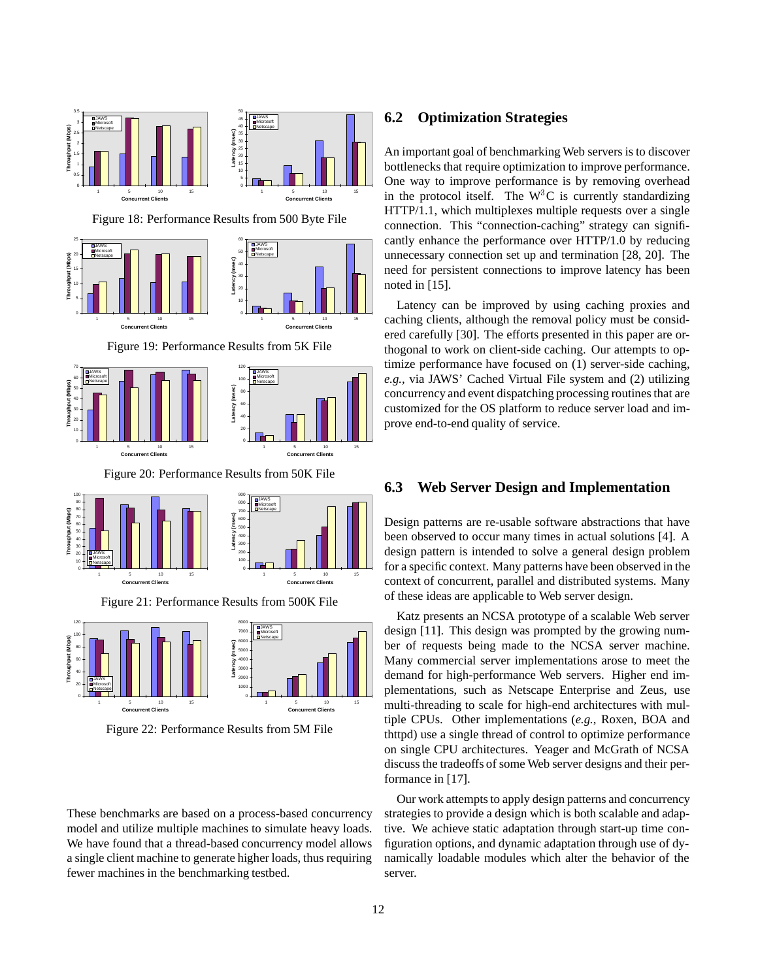

Figure 22: Performance Results from 5M File

These benchmarks are based on a process-based concurrency model and utilize multiple machines to simulate heavy loads. We have found that a thread-based concurrency model allows a single client machine to generate higher loads, thus requiring fewer machines in the benchmarking testbed.

# **6.2 Optimization Strategies**

An important goal of benchmarking Web servers is to discover bottlenecks that require optimization to improve performance. One way to improve performance is by removing overhead in the protocol itself. The  $W<sup>3</sup>C$  is currently standardizing HTTP/1.1, which multiplexes multiple requests over a single connection. This "connection-caching" strategy can significantly enhance the performance over HTTP/1.0 by reducing unnecessary connection set up and termination [28, 20]. The need for persistent connections to improve latency has been noted in [15].

Latency can be improved by using caching proxies and caching clients, although the removal policy must be considered carefully [30]. The efforts presented in this paper are orthogonal to work on client-side caching. Our attempts to optimize performance have focused on (1) server-side caching, *e.g.,* via JAWS' Cached Virtual File system and (2) utilizing concurrency and event dispatching processing routines that are customized for the OS platform to reduce server load and improve end-to-end quality of service.

# **6.3 Web Server Design and Implementation**

Design patterns are re-usable software abstractions that have been observed to occur many times in actual solutions [4]. A design pattern is intended to solve a general design problem for a specific context. Many patterns have been observed in the context of concurrent, parallel and distributed systems. Many of these ideas are applicable to Web server design.

Katz presents an NCSA prototype of a scalable Web server design [11]. This design was prompted by the growing number of requests being made to the NCSA server machine. Many commercial server implementations arose to meet the demand for high-performance Web servers. Higher end implementations, such as Netscape Enterprise and Zeus, use multi-threading to scale for high-end architectures with multiple CPUs. Other implementations (*e.g.*, Roxen, BOA and thttpd) use a single thread of control to optimize performance on single CPU architectures. Yeager and McGrath of NCSA discuss the tradeoffs of some Web server designs and their performance in [17].

Our work attempts to apply design patterns and concurrency strategies to provide a design which is both scalable and adaptive. We achieve static adaptation through start-up time configuration options, and dynamic adaptation through use of dynamically loadable modules which alter the behavior of the server.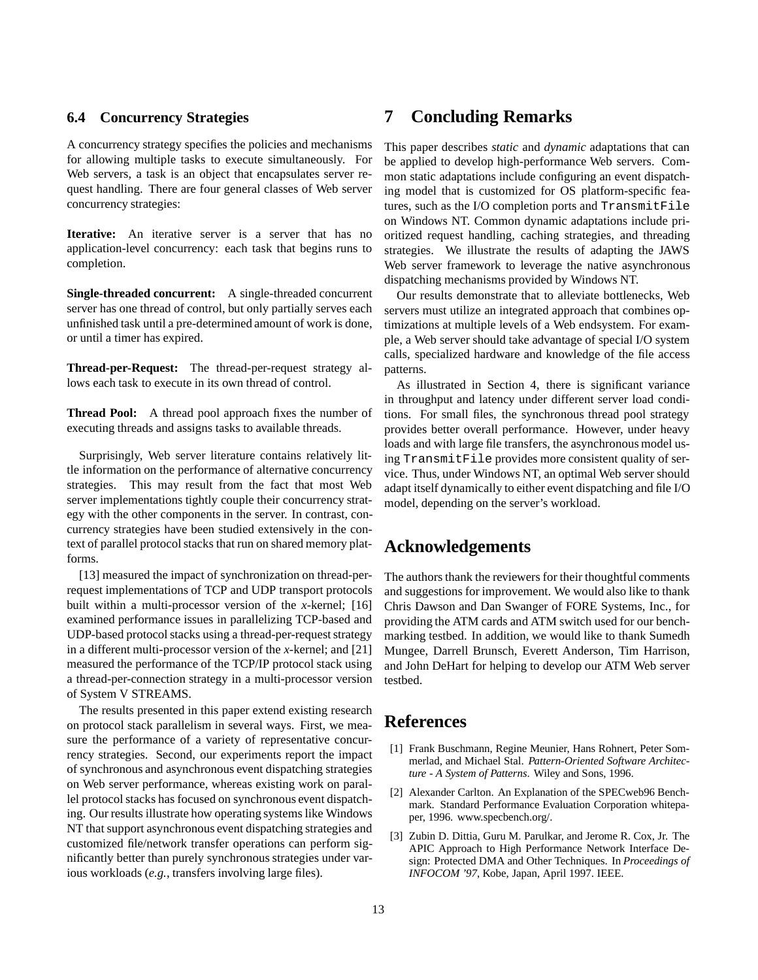## **6.4 Concurrency Strategies**

A concurrency strategy specifies the policies and mechanisms for allowing multiple tasks to execute simultaneously. For Web servers, a task is an object that encapsulates server request handling. There are four general classes of Web server concurrency strategies:

**Iterative:** An iterative server is a server that has no application-level concurrency: each task that begins runs to completion.

**Single-threaded concurrent:** A single-threaded concurrent server has one thread of control, but only partially serves each unfinished task until a pre-determined amount of work is done, or until a timer has expired.

**Thread-per-Request:** The thread-per-request strategy allows each task to execute in its own thread of control.

**Thread Pool:** A thread pool approach fixes the number of executing threads and assigns tasks to available threads.

Surprisingly, Web server literature contains relatively little information on the performance of alternative concurrency strategies. This may result from the fact that most Web server implementations tightly couple their concurrency strategy with the other components in the server. In contrast, concurrency strategies have been studied extensively in the context of parallel protocol stacks that run on shared memory platforms.

[13] measured the impact of synchronization on thread-perrequest implementations of TCP and UDP transport protocols built within a multi-processor version of the *x*-kernel; [16] examined performance issues in parallelizing TCP-based and UDP-based protocol stacks using a thread-per-request strategy in a different multi-processor version of the *x*-kernel; and [21] measured the performance of the TCP/IP protocol stack using a thread-per-connection strategy in a multi-processor version of System V STREAMS.

The results presented in this paper extend existing research on protocol stack parallelism in several ways. First, we measure the performance of a variety of representative concurrency strategies. Second, our experiments report the impact of synchronous and asynchronous event dispatching strategies on Web server performance, whereas existing work on parallel protocol stacks has focused on synchronous event dispatching. Our results illustrate how operating systems like Windows NT that support asynchronous event dispatching strategies and customized file/network transfer operations can perform significantly better than purely synchronous strategies under various workloads (*e.g.*, transfers involving large files).

# **7 Concluding Remarks**

This paper describes *static* and *dynamic* adaptations that can be applied to develop high-performance Web servers. Common static adaptations include configuring an event dispatching model that is customized for OS platform-specific features, such as the I/O completion ports and TransmitFile on Windows NT. Common dynamic adaptations include prioritized request handling, caching strategies, and threading strategies. We illustrate the results of adapting the JAWS Web server framework to leverage the native asynchronous dispatching mechanisms provided by Windows NT.

Our results demonstrate that to alleviate bottlenecks, Web servers must utilize an integrated approach that combines optimizations at multiple levels of a Web endsystem. For example, a Web server should take advantage of special I/O system calls, specialized hardware and knowledge of the file access patterns.

As illustrated in Section 4, there is significant variance in throughput and latency under different server load conditions. For small files, the synchronous thread pool strategy provides better overall performance. However, under heavy loads and with large file transfers, the asynchronous model using TransmitFile provides more consistent quality of service. Thus, under Windows NT, an optimal Web server should adapt itself dynamically to either event dispatching and file I/O model, depending on the server's workload.

# **Acknowledgements**

The authors thank the reviewers for their thoughtful comments and suggestions for improvement. We would also like to thank Chris Dawson and Dan Swanger of FORE Systems, Inc., for providing the ATM cards and ATM switch used for our benchmarking testbed. In addition, we would like to thank Sumedh Mungee, Darrell Brunsch, Everett Anderson, Tim Harrison, and John DeHart for helping to develop our ATM Web server testbed.

# **References**

- [1] Frank Buschmann, Regine Meunier, Hans Rohnert, Peter Sommerlad, and Michael Stal. *Pattern-Oriented Software Architecture - A System of Patterns*. Wiley and Sons, 1996.
- [2] Alexander Carlton. An Explanation of the SPECweb96 Benchmark. Standard Performance Evaluation Corporation whitepaper, 1996. www.specbench.org/.
- [3] Zubin D. Dittia, Guru M. Parulkar, and Jerome R. Cox, Jr. The APIC Approach to High Performance Network Interface Design: Protected DMA and Other Techniques. In *Proceedings of INFOCOM '97*, Kobe, Japan, April 1997. IEEE.